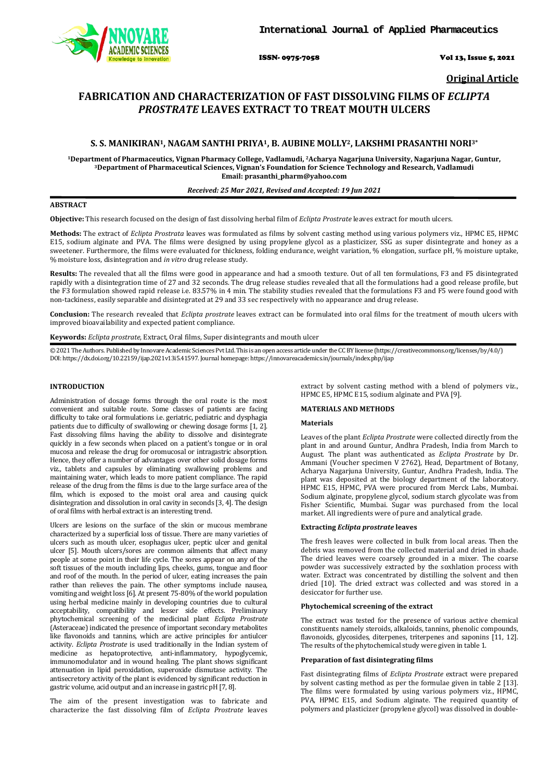

ISSN- 0975-7058 Vol 13, Issue 5, 2021

**Original Article**

# **FABRICATION AND CHARACTERIZATION OF FAST DISSOLVING FILMS OF** *ECLIPTA PROSTRATE* **LEAVES EXTRACT TO TREAT MOUTH ULCERS**

# **S. S. MANIKIRAN1, NAGAM SANTHI PRIYA1, B. AUBINE MOLLY2, LAKSHMI PRASANTHI NORI3\***

<sup>1</sup>Department of Pharmaceutics, Vignan Pharmacy College, Vadlamudi, <sup>2</sup>Acharya Nagarjuna University, Nagarjuna Nagar, Guntur,<br><sup>3</sup>Department of Pharmaceutical Sciences, Vignan's Foundation for Science Technology and Researc **Email[: prasanthi\\_pharm@yahoo.com](mailto:prasanthi_pharm@yahoo.com)**

### *Received: 25 Mar 2021, Revised and Accepted: 19 Jun 2021*

### **ABSTRACT**

**Objective:** This research focused on the design of fast dissolving herbal film of *Eclipta Prostrate* leaves extract for mouth ulcers.

**Methods:** The extract of *Eclipta Prostrata* leaves was formulated as films by solvent casting method using various polymers viz., HPMC E5, HPMC E15, sodium alginate and PVA. The films were designed by using propylene glycol as a plasticizer, SSG as super disintegrate and honey as a sweetener. Furthermore, the films were evaluated for thickness, folding endurance, weight variation, % elongation, surface pH, % moisture uptake, % moisture loss, disintegration and *in vitro* drug release study.

**Results:** The revealed that all the films were good in appearance and had a smooth texture. Out of all ten formulations, F3 and F5 disintegrated rapidly with a disintegration time of 27 and 32 seconds. The drug release studies revealed that all the formulations had a good release profile, but the F3 formulation showed rapid release i.e. 83.57% in 4 min. The stability studies revealed that the formulations F3 and F5 were found good with non-tackiness, easily separable and disintegrated at 29 and 33 sec respectively with no appearance and drug release.

**Conclusion:** The research revealed that *Eclipta prostrate* leaves extract can be formulated into oral films for the treatment of mouth ulcers with improved bioavailability and expected patient compliance.

**Keywords:** *Eclipta prostrate*, Extract, Oral films, Super disintegrants and mouth ulcer

© 2021 The Authors. Published by Innovare Academic Sciences Pvt Ltd. This is an open access article under the CC BY license [\(https://creativecommons.org/licenses/by/4.0/\)](https://creativecommons.org/licenses/by/4.0/) DOI: https://dx.doi.org/10.22159/ijap.2021v13i5.41597. Journal homepage[: https://innovareacademics.in/journals/index.php/ijap](https://innovareacademics.in/journals/index.php/ijap)

### **INTRODUCTION**

Administration of dosage forms through the oral route is the most convenient and suitable route. Some classes of patients are facing difficulty to take oral formulations i.e. geriatric, pediatric and dysphagia patients due to difficulty of swallowing or chewing dosage forms [1, 2]. Fast dissolving films having the ability to dissolve and disintegrate quickly in a few seconds when placed on a patient's tongue or in oral mucosa and release the drug for oromucosal or intragastric absorption. Hence, they offer a number of advantages over other solid dosage forms viz., tablets and capsules by eliminating swallowing problems and maintaining water, which leads to more patient compliance. The rapid release of the drug from the films is due to the large surface area of the film, which is exposed to the moist oral area and causing quick disintegration and dissolution in oral cavity in seconds [3, 4]. The design of oral films with herbal extract is an interesting trend.

Ulcers are lesions on the surface of the skin or mucous membrane characterized by a superficial loss of tissue. There are many varieties of ulcers such as mouth ulcer, esophagus ulcer, peptic ulcer and genital ulcer [5]. Mouth ulcers/sores are common ailments that affect many people at some point in their life cycle. The sores appear on any of the soft tissues of the mouth including lips, cheeks, gums, tongue and floor and roof of the mouth. In the period of ulcer, eating increases the pain rather than relieves the pain. The other symptoms include nausea, vomiting and weight loss [6]. At present 75-80% of the world population using herbal medicine mainly in developing countries due to cultural acceptability, compatibility and lesser side effects. Preliminary phytochemical screening of the medicinal plant *Eclipta Prostrate*  (Asteraceae) indicated the presence of important secondary metabolites like flavonoids and tannins, which are active principles for antiulcer activity. *Eclipta Prostrate* is used traditionally in the Indian system of medicine as hepatoprotective, anti-inflammatory, hypoglycemic, immunomodulator and in wound healing. The plant shows significant attenuation in lipid peroxidation, superoxide dismutase activity. The antisecretory activity of the plant is evidenced by significant reduction in gastric volume, acid output and an increase in gastric pH [7, 8].

The aim of the present investigation was to fabricate and characterize the fast dissolving film of *Eclipta Prostrate* leaves

extract by solvent casting method with a blend of polymers viz., HPMC E5, HPMC E15, sodium alginate and PVA [9].

### **MATERIALS AND METHODS**

#### **Materials**

Leaves of the plant *Eclipta Prostrate* were collected directly from the plant in and around Guntur, Andhra Pradesh, India from March to August. The plant was authenticated as *Eclipta Prostrate* by Dr. Ammani (Voucher specimen V 2762), Head, Department of Botany, Acharya Nagarjuna University, Guntur, Andhra Pradesh, India. The plant was deposited at the biology department of the laboratory. HPMC E15, HPMC, PVA were procured from Merck Labs, Mumbai. Sodium alginate, propylene glycol, sodium starch glycolate was from Fisher Scientific, Mumbai. Sugar was purchased from the local market. All ingredients were of pure and analytical grade.

### **Extracting** *Eclipta prostrate* **leaves**

The fresh leaves were collected in bulk from local areas. Then the debris was removed from the collected material and dried in shade. The dried leaves were coarsely grounded in a mixer. The coarse powder was successively extracted by the soxhlation process with water. Extract was concentrated by distilling the solvent and then dried [10]. The dried extract was collected and was stored in a desiccator for further use.

### **Phytochemical screening of the extract**

The extract was tested for the presence of various active chemical constituents namely steroids, alkaloids, tannins, phenolic compounds, flavonoids, glycosides, diterpenes, triterpenes and saponins [11, 12]. The results of the phytochemical study were given in table 1.

### **Preparation of fast disintegrating films**

Fast disintegrating films of *Eclipta Prostrate* extract were prepared by solvent casting method as per the formulae given in table 2 [13]. The films were formulated by using various polymers viz., HPMC, PVA, HPMC E15, and Sodium alginate. The required quantity of polymers and plasticizer (propylene glycol) was dissolved in double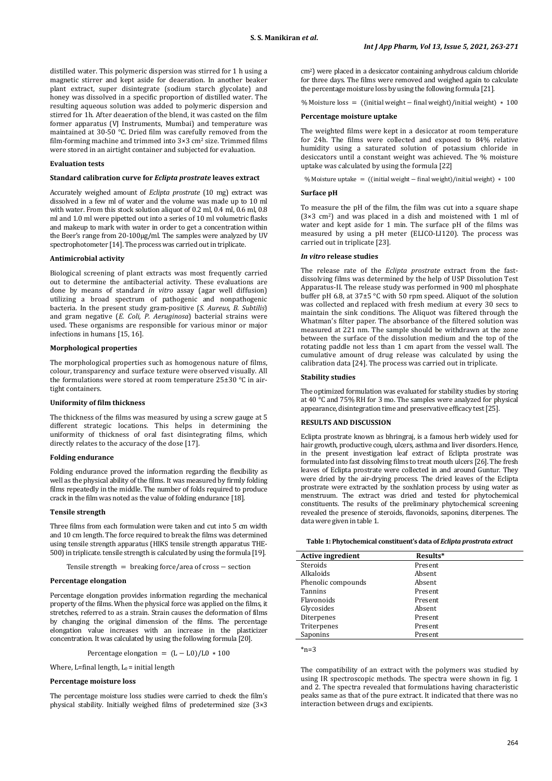distilled water. This polymeric dispersion was stirred for 1 h using a magnetic stirrer and kept aside for deaeration. In another beaker plant extract, super disintegrate (sodium starch glycolate) and honey was dissolved in a specific proportion of distilled water. The resulting aqueous solution was added to polymeric dispersion and stirred for 1h. After deaeration of the blend, it was casted on the film former apparatus (VJ Instruments, Mumbai) and temperature was maintained at 30-50 °C. Dried film was carefully removed from the film-forming machine and trimmed into 3×3 cm2 size. Trimmed films were stored in an airtight container and subjected for evaluation.

#### **Evaluation tests**

### **Standard calibration curve for** *Eclipta prostrate* **leaves extract**

Accurately weighed amount of *Eclipta prostrate* (10 mg) extract was dissolved in a few ml of water and the volume was made up to 10 ml with water. From this stock solution aliquot of 0.2 ml, 0.4 ml, 0.6 ml, 0.8 ml and 1.0 ml were pipetted out into a series of 10 ml volumetric flasks and makeup to mark with water in order to get a concentration within the Beer's range from 20-100µg/ml. The samples were analyzed by UV spectrophotometer [14]. The process was carried out in triplicate.

### **Antimicrobial activity**

Biological screening of plant extracts was most frequently carried out to determine the antibacterial activity. These evaluations are done by means of standard *in vitro* assay (agar well diffusion) utilizing a broad spectrum of pathogenic and nonpathogenic bacteria. In the present study gram-positive (*S. Aureus, B. Subtilis*) and gram negative (*E. Coli, P. Aeruginosa*) bacterial strains were used. These organisms are responsible for various minor or major infections in humans [15, 16].

### **Morphological properties**

The morphological properties such as homogenous nature of films, colour, transparency and surface texture were observed visually. All the formulations were stored at room temperature 25±30 °C in airtight containers.

#### **Uniformity of film thickness**

The thickness of the films was measured by using a screw gauge at 5 different strategic locations. This helps in determining the uniformity of thickness of oral fast disintegrating films, which directly relates to the accuracy of the dose [17].

## **Folding endurance**

Folding endurance proved the information regarding the flexibility as well as the physical ability of the films. It was measured by firmly folding films repeatedly in the middle. The number of folds required to produce crack in the film was noted as the value of folding endurance [18].

### **Tensile strength**

Three films from each formulation were taken and cut into 5 cm width and 10 cm length. The force required to break the films was determined using tensile strength apparatus (HIKS tensile strength apparatus THE-500) in triplicate. tensile strength is calculated by using the formula [19].

Tensile strength = breaking force/area of cross − section

#### **Percentage elongation**

Percentage elongation provides information regarding the mechanical property of the films. When the physical force was applied on the films, it stretches, referred to as a strain. Strain causes the deformation of films by changing the original dimension of the films. The percentage elongation value increases with an increase in the plasticizer concentration. It was calculated by using the following formula [20].

Percentage elongation = 
$$
(L - L0)/L0 * 100
$$

Where, L=final length,  $L_0$  = initial length

### **Percentage moisture loss**

The percentage moisture loss studies were carried to check the film's physical stability. Initially weighed films of predetermined size (3×3 cm2) were placed in a desiccator containing anhydrous calcium chloride for three days. The films were removed and weighed again to calculate the percentage moisture loss by using the following formula [21].

% Moisture loss =  $((initial weight – final weight)/initial weight) * 100$ 

#### **Percentage moisture uptake**

The weighted films were kept in a desiccator at room temperature for 24h. The films were collected and exposed to 84% relative humidity using a saturated solution of potassium chloride in desiccators until a constant weight was achieved. The % moisture uptake was calculated by using the formula [22]

% Moisture uptake =  $($ (initial weight – final weight)/initial weight) \* 100

### **Surface pH**

To measure the pH of the film, the film was cut into a square shape  $(3\times3 \text{ cm}^2)$  and was placed in a dish and moistened with 1 ml of water and kept aside for 1 min. The surface pH of the films was measured by using a pH meter (ELICO-LI120). The process was carried out in triplicate [23].

#### *In vitro* **release studies**

The release rate of the *Eclipta prostrate* extract from the fastdissolving films was determined by the help of USP Dissolution Test Apparatus-II. The release study was performed in 900 ml phosphate buffer pH 6.8, at 37±5 °C with 50 rpm speed. Aliquot of the solution was collected and replaced with fresh medium at every 30 secs to maintain the sink conditions. The Aliquot was filtered through the Whatman's filter paper. The absorbance of the filtered solution was measured at 221 nm. The sample should be withdrawn at the zone between the surface of the dissolution medium and the top of the rotating paddle not less than 1 cm apart from the vessel wall. The cumulative amount of drug release was calculated by using the calibration data [24]. The process was carried out in triplicate.

#### **Stability studies**

The optimized formulation was evaluated for stability studies by storing at 40 °C and 75% RH for 3 mo. The samples were analyzed for physical appearance, disintegration time and preservative efficacy test[25].

### **RESULTS AND DISCUSSION**

Eclipta prostrate known as bhringraj, is a famous herb widely used for hair growth, productive cough, ulcers, asthma and liver disorders. Hence, in the present investigation leaf extract of Eclipta prostrate was formulated into fast dissolving films to treat mouth ulcers [26]. The fresh leaves of Eclipta prostrate were collected in and around Guntur. They were dried by the air-drying process. The dried leaves of the Eclipta prostrate were extracted by the soxhlation process by using water as menstruum. The extract was dried and tested for phytochemical constituents. The results of the preliminary phytochemical screening revealed the presence of steroids, flavonoids, saponins, diterpenes. The data were given in table 1.

### **Table 1: Phytochemical constituent's data of** *Eclipta prostrata extract*

| <b>Active ingredient</b> | Results* |  |
|--------------------------|----------|--|
| Steroids                 | Present  |  |
| Alkaloids                | Absent   |  |
| Phenolic compounds       | Absent   |  |
| Tannins                  | Present  |  |
| Flavonoids               | Present  |  |
| Glycosides               | Absent   |  |
| Diterpenes               | Present  |  |
| Triterpenes              | Present  |  |
| Saponins                 | Present  |  |
|                          |          |  |

 $*_{n=3}$ 

The compatibility of an extract with the polymers was studied by using IR spectroscopic methods. The spectra were shown in fig. 1 and 2. The spectra revealed that formulations having characteristic peaks same as that of the pure extract. It indicated that there was no interaction between drugs and excipients.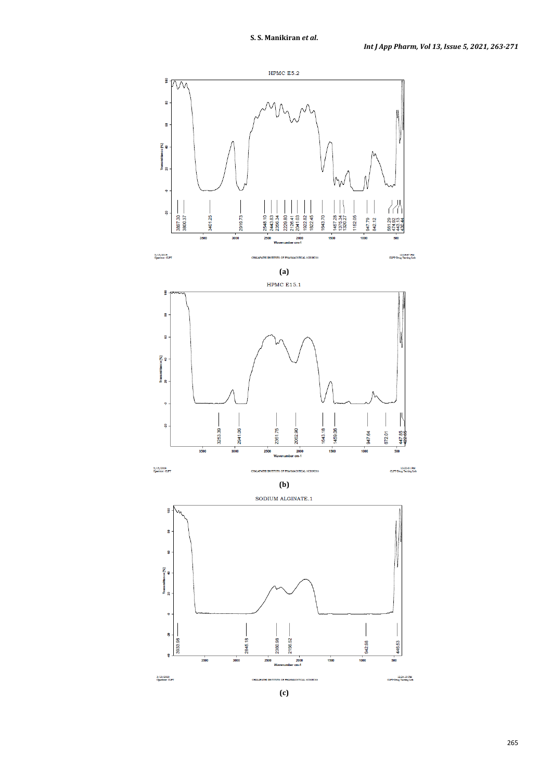

**(c)**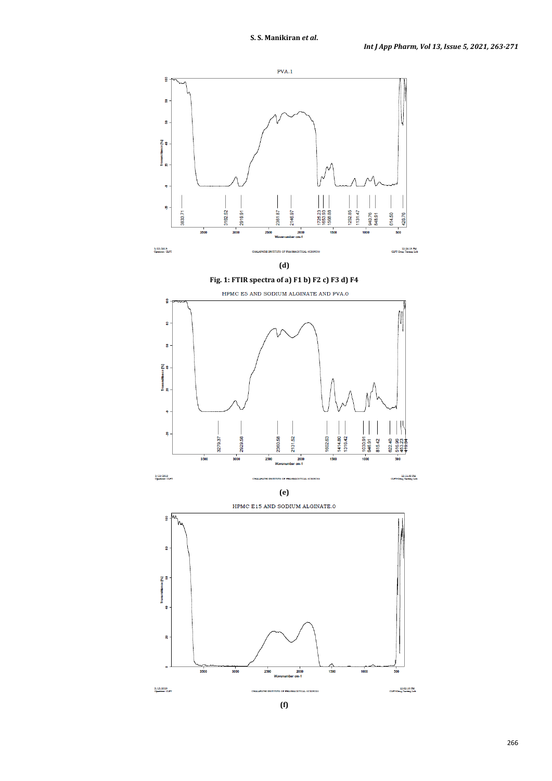

**(f)**

266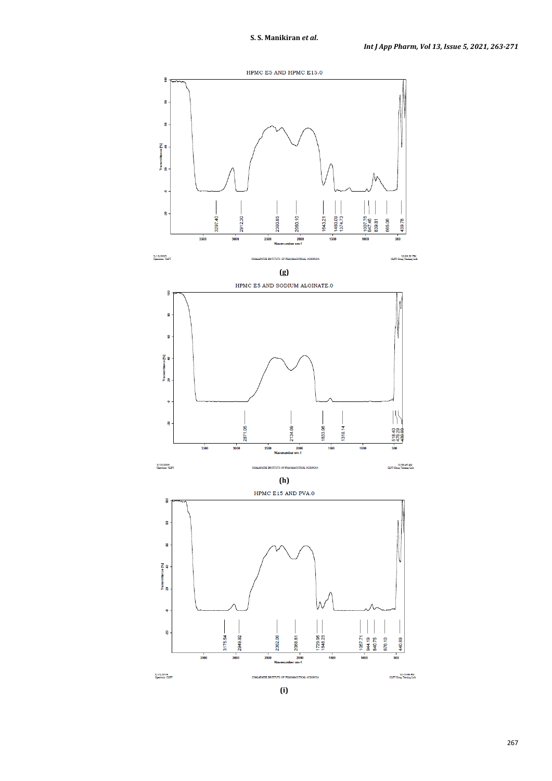

**(i)**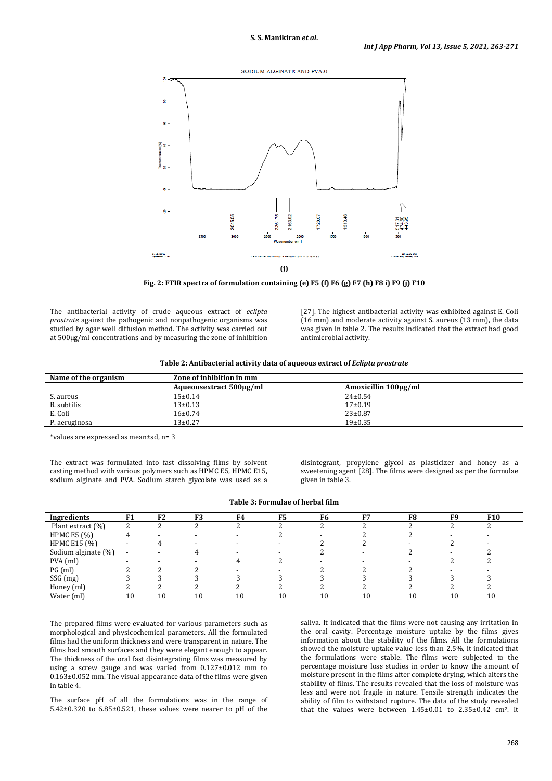

**Fig. 2: FTIR spectra of formulation containing (e) F5 (f) F6 (g) F7 (h) F8 i) F9 (j) F10**

The antibacterial activity of crude aqueous extract of *eclipta prostrate* against the pathogenic and nonpathogenic organisms was studied by agar well diffusion method. The activity was carried out at 500µg/ml concentrations and by measuring the zone of inhibition

[27]. The highest antibacterial activity was exhibited against E. Coli (16 mm) and moderate activity against S. aureus (13 mm), the data was given in table 2. The results indicated that the extract had good antimicrobial activity.

| Name of the organism | Zone of inhibition in mm |                      |
|----------------------|--------------------------|----------------------|
|                      | Aqueousextract 500µg/ml  | Amoxicillin 100μg/ml |
| S. aureus            | 15±0.14                  | $24 \pm 0.54$        |
| B. subtilis          | $13 \pm 0.13$            | $17+0.19$            |
| E. Coli              | $16 + 0.74$              | $23 \pm 0.87$        |
| P. aeruginosa        | $13+0.27$                | 19±0.35              |

\*values are expressed as mean±sd, n= 3

The extract was formulated into fast dissolving films by solvent casting method with various polymers such as HPMC E5, HPMC E15, sodium alginate and PVA. Sodium starch glycolate was used as a

disintegrant, propylene glycol as plasticizer and honey as a sweetening agent [28]. The films were designed as per the formulae given in table 3.

| Table 3: Formulae of herbal film |
|----------------------------------|
|----------------------------------|

| Ingredients         | F1                       | F <sub>2</sub> | F <sub>3</sub> | F <sub>4</sub> | F <sub>5</sub> | F <sub>6</sub> | F7 | F <sub>8</sub> | F <sub>9</sub> | <b>F10</b> |  |
|---------------------|--------------------------|----------------|----------------|----------------|----------------|----------------|----|----------------|----------------|------------|--|
| Plant extract (%)   | റ<br>∼                   | ∍              |                |                |                |                |    |                |                |            |  |
| <b>HPMC E5 (%)</b>  | 4                        |                |                |                |                |                |    |                |                |            |  |
| HPMC E15 (%)        |                          |                |                |                |                |                |    |                |                |            |  |
| Sodium alginate (%) | $\overline{\phantom{a}}$ |                |                |                |                |                |    |                |                |            |  |
| $PVA$ (ml)          | $\overline{\phantom{0}}$ |                |                |                |                |                |    |                |                |            |  |
| PG(ml)              |                          |                |                |                |                |                |    |                |                |            |  |
| SSG (mg)            |                          |                |                |                |                |                |    |                |                |            |  |
| Honey (ml)          |                          |                |                |                |                |                |    |                |                |            |  |
| Water (ml)          | 10                       | 10             | 10             | 10             | 10             | 10             | 10 | 10             | 10             | 10         |  |

The prepared films were evaluated for various parameters such as morphological and physicochemical parameters. All the formulated films had the uniform thickness and were transparent in nature. The films had smooth surfaces and they were elegant enough to appear. The thickness of the oral fast disintegrating films was measured by using a screw gauge and was varied from 0.127±0.012 mm to 0.163±0.052 mm. The visual appearance data of the films were given in table 4.

The surface pH of all the formulations was in the range of 5.42±0.320 to 6.85±0.521, these values were nearer to pH of the

saliva. It indicated that the films were not causing any irritation in the oral cavity. Percentage moisture uptake by the films gives information about the stability of the films. All the formulations showed the moisture uptake value less than 2.5%, it indicated that the formulations were stable. The films were subjected to the percentage moisture loss studies in order to know the amount of moisture present in the films after complete drying, which alters the stability of films. The results revealed that the loss of moisture was less and were not fragile in nature. Tensile strength indicates the ability of film to withstand rupture. The data of the study revealed that the values were between  $1.45\pm0.01$  to  $2.35\pm0.42$  cm<sup>2</sup>. It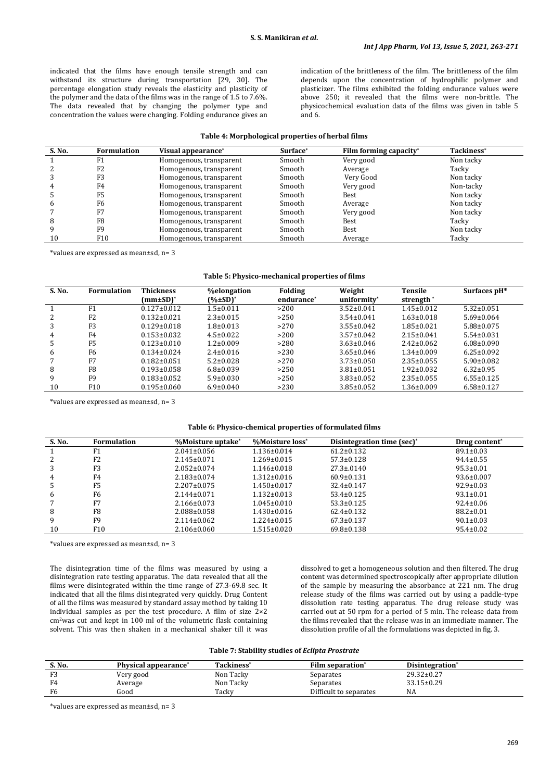indicated that the films have enough tensile strength and can withstand its structure during transportation [29, 30]. The percentage elongation study reveals the elasticity and plasticity of the polymer and the data of the films was in the range of 1.5 to 7.6%. The data revealed that by changing the polymer type and concentration the values were changing. Folding endurance gives an

indication of the brittleness of the film. The brittleness of the film depends upon the concentration of hydrophilic polymer and plasticizer. The films exhibited the folding endurance values were above 250; it revealed that the films were non-brittle. The physicochemical evaluation data of the films was given in table 5 and 6.

### **Table 4: Morphological properties of herbal films**

| S. No. | <b>Formulation</b> | Visual appearance*      | Surface* | Film forming capacity* | Tackiness* |
|--------|--------------------|-------------------------|----------|------------------------|------------|
|        | F1                 | Homogenous, transparent | Smooth   | Very good              | Non tacky  |
|        | F <sub>2</sub>     | Homogenous, transparent | Smooth   | Average                | Tacky      |
|        | F3                 | Homogenous, transparent | Smooth   | Very Good              | Non tacky  |
|        | F4                 | Homogenous, transparent | Smooth   | Very good              | Non-tacky  |
|        | F <sub>5</sub>     | Homogenous, transparent | Smooth   | Best                   | Non tacky  |
|        | F <sub>6</sub>     | Homogenous, transparent | Smooth   | Average                | Non tacky  |
|        | F7                 | Homogenous, transparent | Smooth   | Very good              | Non tacky  |
|        | F8                 | Homogenous, transparent | Smooth   | Best                   | Tacky      |
|        | F9                 | Homogenous, transparent | Smooth   | Best                   | Non tacky  |
| 10     | F10                | Homogenous, transparent | Smooth   | Average                | Tacky      |

\*values are expressed as mean±sd, n= 3

### **Table 5: Physico-mechanical properties of films**

| uniformity*<br>(mm±SD)*<br>$(*)$ $SD$ <sup>*</sup><br>strength <sup>*</sup><br>endurance*<br>$0.127 \pm 0.012$<br>$3.52 \pm 0.041$<br>$1.45 \pm 0.012$<br>F <sub>1</sub><br>$1.5 \pm 0.011$<br>>200<br>$5.32 \pm 0.051$<br>$3.54 \pm 0.041$<br>$0.132 \pm 0.021$<br>$2.3 \pm 0.015$<br>$1.63 \pm 0.018$<br>$5.69 \pm 0.064$<br>2<br>F <sub>2</sub><br>>250<br>$3.55 \pm 0.042$<br>$0.129 \pm 0.018$<br>$1.8 \pm 0.013$<br>$1.85 \pm 0.021$<br>$5.88 \pm 0.075$<br>>270<br>3<br>F3<br>$0.153 \pm 0.032$<br>$3.57 \pm 0.042$<br>$4.5 \pm 0.022$<br>$2.15 \pm 0.041$<br>$5.54 \pm 0.031$<br>>200<br>F4<br>4<br>$3.63 \pm 0.046$<br>$0.123 \pm 0.010$<br>$1.2 \pm 0.009$<br>>280<br>$2.42 \pm 0.062$<br>$6.08 \pm 0.090$<br>F5<br>5 |  |
|---------------------------------------------------------------------------------------------------------------------------------------------------------------------------------------------------------------------------------------------------------------------------------------------------------------------------------------------------------------------------------------------------------------------------------------------------------------------------------------------------------------------------------------------------------------------------------------------------------------------------------------------------------------------------------------------------------------------------------|--|
|                                                                                                                                                                                                                                                                                                                                                                                                                                                                                                                                                                                                                                                                                                                                 |  |
|                                                                                                                                                                                                                                                                                                                                                                                                                                                                                                                                                                                                                                                                                                                                 |  |
|                                                                                                                                                                                                                                                                                                                                                                                                                                                                                                                                                                                                                                                                                                                                 |  |
|                                                                                                                                                                                                                                                                                                                                                                                                                                                                                                                                                                                                                                                                                                                                 |  |
|                                                                                                                                                                                                                                                                                                                                                                                                                                                                                                                                                                                                                                                                                                                                 |  |
|                                                                                                                                                                                                                                                                                                                                                                                                                                                                                                                                                                                                                                                                                                                                 |  |
| $3.65 \pm 0.046$<br>$0.134 \pm 0.024$<br>$2.4 \pm 0.016$<br>$1.34 \pm 0.009$<br>$6.25 \pm 0.092$<br>F6<br>>230<br>6                                                                                                                                                                                                                                                                                                                                                                                                                                                                                                                                                                                                             |  |
| $3.73 \pm 0.050$<br>$2.35 \pm 0.055$<br>F7<br>$0.182 \pm 0.051$<br>$5.2 \pm 0.028$<br>>270<br>$5.90 \pm 0.082$                                                                                                                                                                                                                                                                                                                                                                                                                                                                                                                                                                                                                  |  |
| F8<br>$0.193 \pm 0.058$<br>$3.81 \pm 0.051$<br>$1.92 \pm 0.032$<br>8<br>$6.8 \pm 0.039$<br>>250<br>$6.32 \pm 0.95$                                                                                                                                                                                                                                                                                                                                                                                                                                                                                                                                                                                                              |  |
| F9<br>$0.183 \pm 0.052$<br>$3.83 \pm 0.052$<br>$2.35 \pm 0.055$<br>9<br>$5.9 \pm 0.030$<br>>250<br>$6.55 \pm 0.125$                                                                                                                                                                                                                                                                                                                                                                                                                                                                                                                                                                                                             |  |
| $3.85 \pm 0.052$<br>$1.36 \pm 0.009$<br>F <sub>10</sub><br>$0.195 \pm 0.060$<br>>230<br>$6.9 \pm 0.040$<br>$6.58 \pm 0.127$<br>10                                                                                                                                                                                                                                                                                                                                                                                                                                                                                                                                                                                               |  |

\*values are expressed as mean±sd, n= 3

#### **Table 6: Physico-chemical properties of formulated films**

| S. No. | <b>Formulation</b> | %Moisture uptake* | %Moisture loss*   | Disintegration time (sec) <sup>*</sup> | Drug content <sup>*</sup> |
|--------|--------------------|-------------------|-------------------|----------------------------------------|---------------------------|
|        |                    |                   |                   |                                        |                           |
|        | F1                 | $2.041 \pm 0.056$ | $1.136 \pm 0.014$ | $61.2 \pm 0.132$                       | $89.1 \pm 0.03$           |
|        | F <sub>2</sub>     | $2.145 \pm 0.071$ | $1.269 \pm 0.015$ | $57.3 \pm 0.128$                       | $94.4 \pm 0.55$           |
|        | F <sub>3</sub>     | $2.052 \pm 0.074$ | $1.146 \pm 0.018$ | $27.3 \pm 0.0140$                      | $95.3 \pm 0.01$           |
| 4      | F4                 | $2.183 \pm 0.074$ | $1.312 \pm 0.016$ | $60.9 \pm 0.131$                       | $93.6 \pm 0.007$          |
|        | F5                 | $2.207 \pm 0.075$ | $1.450 \pm 0.017$ | $32.4 \pm 0.147$                       | $92.9 \pm 0.03$           |
| 6      | F6                 | $2.144 \pm 0.071$ | $1.132 \pm 0.013$ | $53.4 \pm 0.125$                       | $93.1 \pm 0.01$           |
|        | F7                 | $2.166 \pm 0.073$ | $1.045 \pm 0.010$ | $53.3 \pm 0.125$                       | $92.4 \pm 0.06$           |
| 8      | F8                 | $2.088 \pm 0.058$ | $1.430\pm0.016$   | $62.4 \pm 0.132$                       | $88.2 \pm 0.01$           |
| 9      | F9                 | $2.114 \pm 0.062$ | $1.224 \pm 0.015$ | $67.3 \pm 0.137$                       | $90.1 \pm 0.03$           |
| 10     | F10                | $2.106 \pm 0.060$ | 1.515±0.020       | $69.8 \pm 0.138$                       | $95.4 \pm 0.02$           |

\*values are expressed as mean±sd, n= 3

The disintegration time of the films was measured by using a disintegration rate testing apparatus. The data revealed that all the films were disintegrated within the time range of 27.3-69.8 sec. It indicated that all the films disintegrated very quickly. Drug Content of all the films was measured by standard assay method by taking 10 individual samples as per the test procedure. A film of size 2×2 cm2was cut and kept in 100 ml of the volumetric flask containing solvent. This was then shaken in a mechanical shaker till it was dissolved to get a homogeneous solution and then filtered. The drug content was determined spectroscopically after appropriate dilution of the sample by measuring the absorbance at 221 nm. The drug release study of the films was carried out by using a paddle-type dissolution rate testing apparatus. The drug release study was carried out at 50 rpm for a period of 5 min. The release data from the films revealed that the release was in an immediate manner. The dissolution profile of all the formulations was depicted in fig. 3.

| S. No. | Physical appearance* | Tackiness* | <b>Film separation*</b> | Disintegration*  |
|--------|----------------------|------------|-------------------------|------------------|
| EО.    | Very good            | Non Tacky  | Separates               | $29.32 \pm 0.27$ |
| F4     | Average              | Non Tacky  | Separates               | $33.15 \pm 0.29$ |
| F6     | Good                 | Tackv      | Difficult to separates  | NA               |

\*values are expressed as mean±sd, n= 3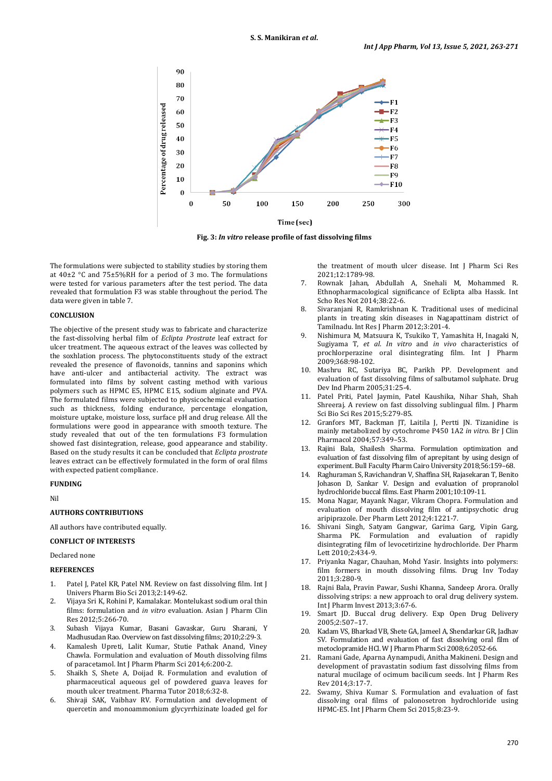

**Fig. 3:** *In vitro* **release profile of fast dissolving films**

The formulations were subjected to stability studies by storing them at 40±2 °C and 75±5%RH for a period of 3 mo. The formulations were tested for various parameters after the test period. The data revealed that formulation F3 was stable throughout the period. The data were given in table 7.

### **CONCLUSION**

The objective of the present study was to fabricate and characterize the fast-dissolving herbal film of *Eclipta Prostrate* leaf extract for ulcer treatment. The aqueous extract of the leaves was collected by the soxhlation process. The phytoconstituents study of the extract revealed the presence of flavonoids, tannins and saponins which have anti-ulcer and antibacterial activity. The extract was formulated into films by solvent casting method with various polymers such as HPMC E5, HPMC E15, sodium alginate and PVA. The formulated films were subjected to physicochemical evaluation such as thickness, folding endurance, percentage elongation, moisture uptake, moisture loss, surface pH and drug release. All the formulations were good in appearance with smooth texture. The study revealed that out of the ten formulations F3 formulation showed fast disintegration, release, good appearance and stability. Based on the study results it can be concluded that *Eclipta prostrate* leaves extract can be effectively formulated in the form of oral films with expected patient compliance.

### **FUNDING**

Nil

### **AUTHORS CONTRIBUTIONS**

All authors have contributed equally.

# **CONFLICT OF INTERESTS**

Declared none

### **REFERENCES**

- 1. Patel J, Patel KR, Patel NM. Review on fast dissolving film. Int J Univers Pharm Bio Sci 2013;2:149-62.
- 2. Vijaya Sri K, Rohini P, Kamalakar. Montelukast sodium oral thin films: formulation and *in vitro* evaluation. Asian J Pharm Clin Res 2012;5:266-70.
- 3. Subash Vijaya Kumar, Basani Gavaskar, Guru Sharani, Y Madhusudan Rao.Overview on fast dissolving films; 2010;2:29-3.
- 4. Kamalesh Upreti, Lalit Kumar, Stutie Pathak Anand, Viney Chawla. Formulation and evaluation of Mouth dissolving films of paracetamol. Int J Pharm Pharm Sci 2014;6:200-2.
- 5. Shaikh S, Shete A, Doijad R. Formulation and evalution of pharmaceutical aqueous gel of powdered guava leaves for mouth ulcer treatment. Pharma Tutor 2018;6:32-8.
- 6. Shivaji SAK, Vaibhav RV. Formulation and development of quercetin and monoammonium glycyrrhizinate loaded gel for

the treatment of mouth ulcer disease. Int J Pharm Sci Res 2021;12:1789-98.

- 7. Rownak Jahan, Abdullah A, Snehali M, Mohammed R. Ethnopharmacological significance of Eclipta alba Hassk. Int Scho Res Not 2014;38:22-6.
- 8. Sivaranjani R, Ramkrishnan K. Traditional uses of medicinal plants in treating skin diseases in Nagapattinam district of Tamilnadu. Int Res J Pharm 2012;3:201-4.
- 9. Nishimura M, Matsuura K, Tsukiko T, Yamashita H, Inagaki N, Sugiyama T, *et al*. *In vitro* and *in vivo* characteristics of prochlorperazine oral disintegrating film. Int J Pharm 2009;368:98-102.
- 10. Mashru RC, Sutariya BC, Parikh PP. Development and evaluation of fast dissolving films of salbutamol sulphate. Drug Dev Ind Pharm 2005;31:25-4.
- 11. Patel Priti, Patel Jaymin, Patel Kaushika, Nihar Shah, Shah Shreeraj. A review on fast dissolving sublingual film. J Pharm Sci Bio Sci Res 2015;5:279-85.
- 12. Granfors MT, Backman JT, Laitila J, Pertti JN. Tizanidine is mainly metabolized by cytochrome P450 1A2 *in vitro*. Br J Clin Pharmacol 2004;57:349–53.
- 13. Rajini Bala, Shailesh Sharma. Formulation optimization and evaluation of fast dissolving film of aprepitant by using design of experiment. Bull Faculty Pharm Cairo University 2018;56:159–68.
- 14. Raghuraman S, Ravichandran V, Shaffina SH, Rajasekaran T, Benito Johason D, Sankar V. Design and evaluation of propranolol hydrochloride buccal films. East Pharm 2001;10:109-11.
- 15. Mona Nagar, Mayank Nagar, Vikram Chopra. Formulation and evaluation of mouth dissolving film of antipsychotic drug aripiprazole. Der Pharm Lett 2012;4:1221-7.
- 16. Shivani Singh, Satyam Gangwar, Garima Garg, Vipin Garg, Sharma PK. Formulation and evaluation of rapidly disintegrating film of levocetirizine hydrochloride. Der Pharm Lett 2010;2:434-9.
- 17. Priyanka Nagar, Chauhan, Mohd Yasir. Insights into polymers: film formers in mouth dissolving films. Drug Inv Today 2011;3:280-9.
- 18. Rajni Bala, Pravin Pawar, Sushi Khanna, Sandeep Arora. Orally dissolving strips: a new approach to oral drug delivery system. Int J Pharm Invest 2013;3:67-6.
- 19. Smart JD. Buccal drug delivery. Exp Open Drug Delivery 2005;2:507–17.
- 20. Kadam VS, Bharkad VB, Shete GA, Jameel A, Shendarkar GR, Jadhav SV. Formulation and evaluation of fast dissolving oral film of metoclopramide HCl. W J Pharm Pharm Sci 2008;6:2052-66.
- 21. Ramani Gade, Aparna Aynampudi, Anitha Makineni. Design and development of pravastatin sodium fast dissolving films from natural mucilage of ocimum bacilicum seeds. Int J Pharm Res Rev 2014;3:17-7.
- 22. Swamy, Shiva Kumar S. Formulation and evaluation of fast dissolving oral films of palonosetron hydrochloride using HPMC-E5. Int J Pharm Chem Sci 2015;8:23-9.